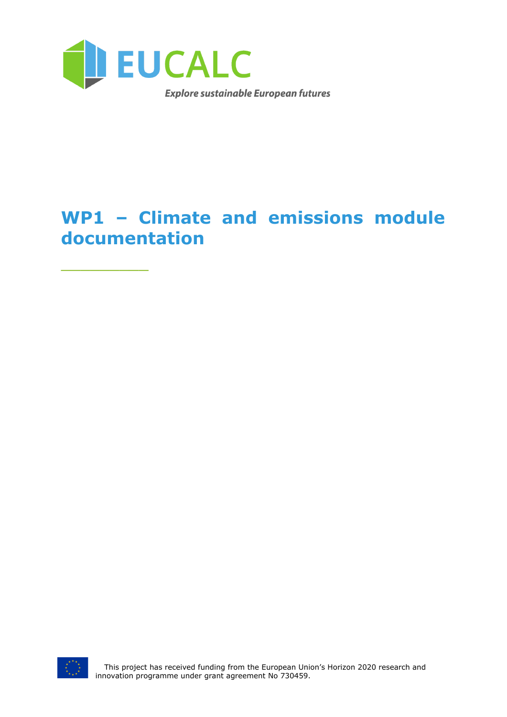

# **WP1 – Climate and emissions module documentation**



 $\frac{1}{2}$  ,  $\frac{1}{2}$  ,  $\frac{1}{2}$  ,  $\frac{1}{2}$  ,  $\frac{1}{2}$  ,  $\frac{1}{2}$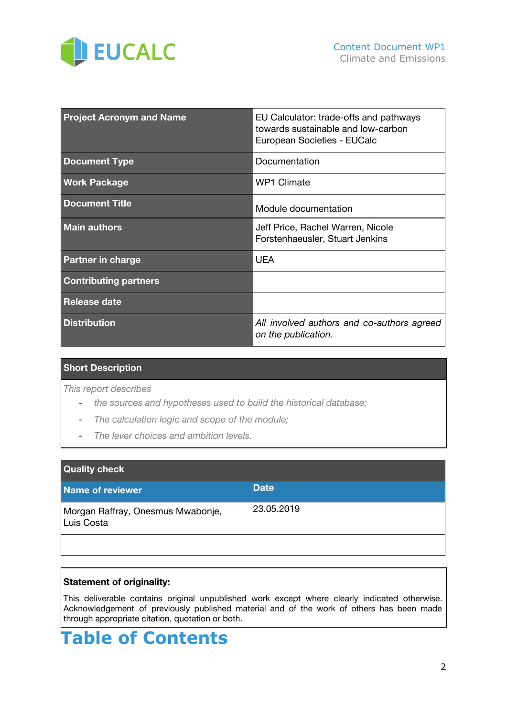

| <b>Project Acronym and Name</b> | EU Calculator: trade-offs and pathways<br>towards sustainable and low-carbon<br>European Societies - EUCalc |
|---------------------------------|-------------------------------------------------------------------------------------------------------------|
| <b>Document Type</b>            | Documentation                                                                                               |
| <b>Work Package</b>             | <b>WP1 Climate</b>                                                                                          |
| <b>Document Title</b>           | Module documentation                                                                                        |
| <b>Main authors</b>             | Jeff Price, Rachel Warren, Nicole<br>Forstenhaeusler, Stuart Jenkins                                        |
| <b>Partner in charge</b>        | <b>UEA</b>                                                                                                  |
| <b>Contributing partners</b>    |                                                                                                             |
| <b>Release date</b>             |                                                                                                             |
| <b>Distribution</b>             | All involved authors and co-authors agreed<br>on the publication.                                           |

#### **Short Description**

*This report describes*

- *- the sources and hypotheses used to build the historical database;*
- *- The calculation logic and scope of the module;*
- *- The lever choices and ambition levels.*

| <b>Quality check</b>                            |             |  |
|-------------------------------------------------|-------------|--|
| Name of reviewer                                | <b>Date</b> |  |
| Morgan Raffray, Onesmus Mwabonje,<br>Luis Costa | 23.05.2019  |  |
|                                                 |             |  |

#### **Statement of originality:**

This deliverable contains original unpublished work except where clearly indicated otherwise. Acknowledgement of previously published material and of the work of others has been made through appropriate citation, quotation or both.

# **Table of Contents**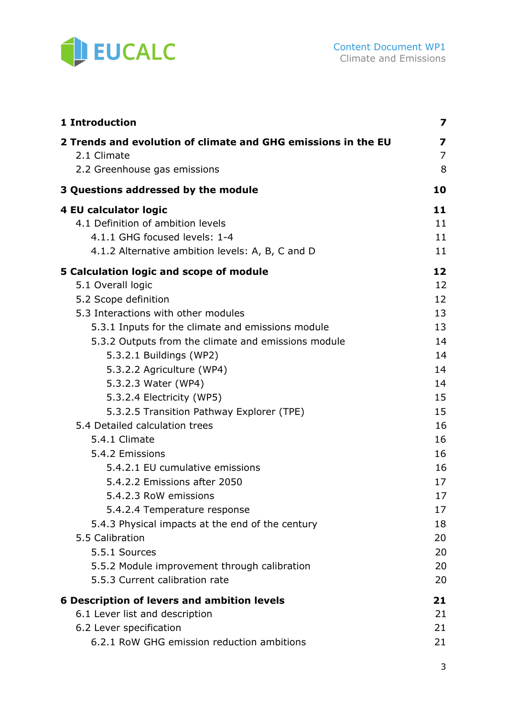

| 1 Introduction                                                               | 7        |
|------------------------------------------------------------------------------|----------|
| 2 Trends and evolution of climate and GHG emissions in the EU<br>2.1 Climate | 7<br>7   |
| 2.2 Greenhouse gas emissions                                                 | 8        |
| 3 Questions addressed by the module                                          | 10       |
| 4 EU calculator logic                                                        | 11       |
| 4.1 Definition of ambition levels                                            | 11       |
| 4.1.1 GHG focused levels: 1-4                                                | 11       |
| 4.1.2 Alternative ambition levels: A, B, C and D                             | 11       |
| 5 Calculation logic and scope of module                                      | 12       |
| 5.1 Overall logic                                                            | 12       |
| 5.2 Scope definition                                                         | 12       |
| 5.3 Interactions with other modules                                          | 13       |
| 5.3.1 Inputs for the climate and emissions module                            | 13       |
| 5.3.2 Outputs from the climate and emissions module                          | 14       |
| 5.3.2.1 Buildings (WP2)                                                      | 14       |
| 5.3.2.2 Agriculture (WP4)                                                    | 14       |
| 5.3.2.3 Water (WP4)                                                          | 14       |
| 5.3.2.4 Electricity (WP5)                                                    | 15       |
| 5.3.2.5 Transition Pathway Explorer (TPE)                                    | 15       |
| 5.4 Detailed calculation trees                                               | 16       |
| 5.4.1 Climate<br>5.4.2 Emissions                                             | 16<br>16 |
| 5.4.2.1 EU cumulative emissions                                              | 16       |
| 5.4.2.2 Emissions after 2050                                                 | 17       |
| 5.4.2.3 RoW emissions                                                        | 17       |
| 5.4.2.4 Temperature response                                                 | 17       |
| 5.4.3 Physical impacts at the end of the century                             | 18       |
| 5.5 Calibration                                                              | 20       |
| 5.5.1 Sources                                                                | 20       |
| 5.5.2 Module improvement through calibration                                 | 20       |
| 5.5.3 Current calibration rate                                               | 20       |
| <b>6 Description of levers and ambition levels</b>                           | 21       |
| 6.1 Lever list and description                                               | 21       |
| 6.2 Lever specification                                                      | 21       |
| 6.2.1 RoW GHG emission reduction ambitions                                   | 21       |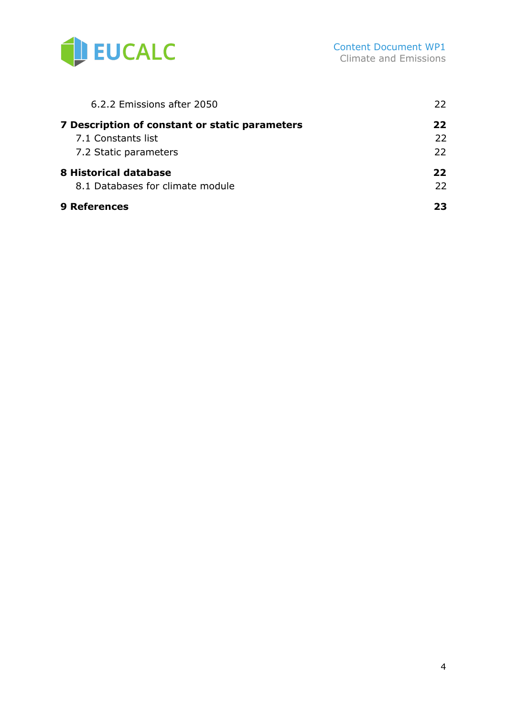

| 6.2.2 Emissions after 2050                     | 22.          |
|------------------------------------------------|--------------|
| 7 Description of constant or static parameters | 22           |
| 7.1 Constants list                             | $22^{\circ}$ |
| 7.2 Static parameters                          | $22^{\circ}$ |
| 8 Historical database                          | 22           |
| 8.1 Databases for climate module               | 22.          |
| <b>9 References</b>                            | 23           |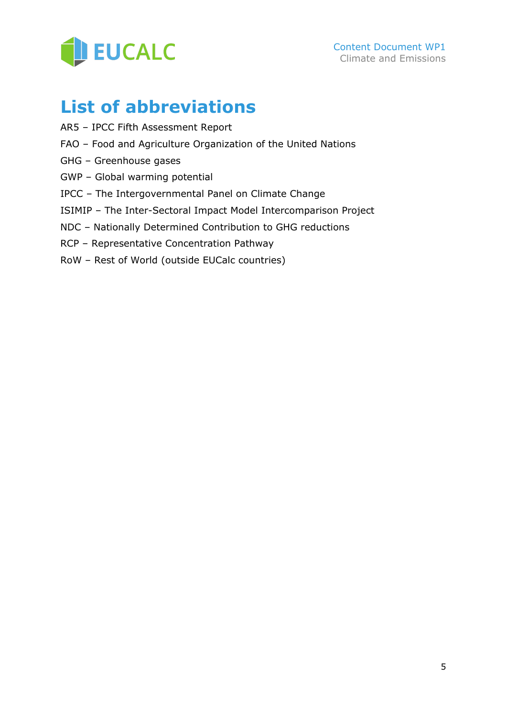

# **List of abbreviations**

- AR5 IPCC Fifth Assessment Report
- FAO Food and Agriculture Organization of the United Nations
- GHG Greenhouse gases
- GWP Global warming potential
- IPCC The Intergovernmental Panel on Climate Change
- ISIMIP The Inter-Sectoral Impact Model Intercomparison Project
- NDC Nationally Determined Contribution to GHG reductions
- RCP Representative Concentration Pathway
- RoW Rest of World (outside EUCalc countries)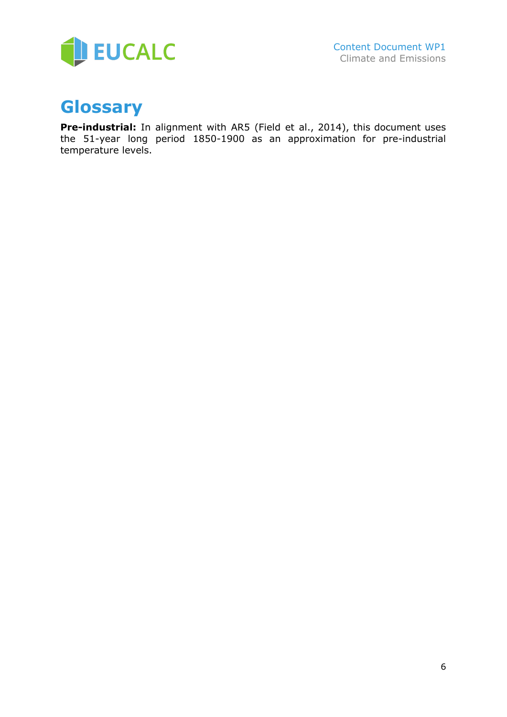

# **Glossary**

**Pre-industrial:** In alignment with AR5 (Field et al., 2014), this document uses the 51-year long period 1850-1900 as an approximation for pre-industrial temperature levels.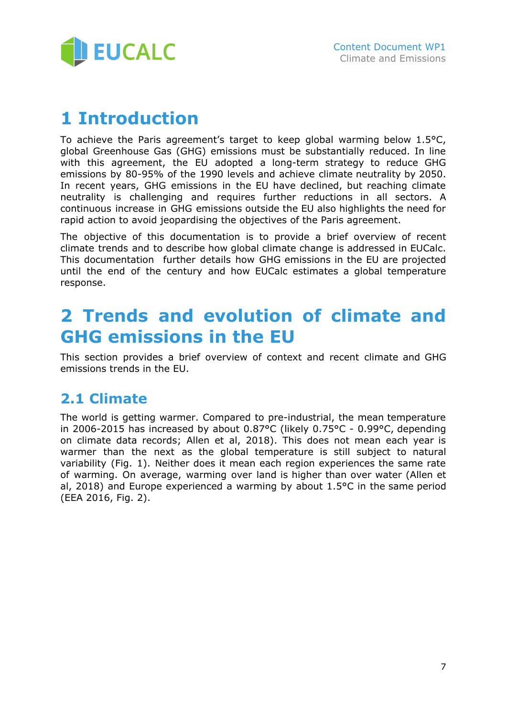

# <span id="page-6-0"></span>**1 Introduction**

To achieve the Paris agreement's target to keep global warming below 1.5°C, global Greenhouse Gas (GHG) emissions must be substantially reduced. In line with this agreement, the EU adopted a long-term strategy to reduce GHG emissions by 80-95% of the 1990 levels and achieve climate neutrality by 2050. In recent years, GHG emissions in the EU have declined, but reaching climate neutrality is challenging and requires further reductions in all sectors. A continuous increase in GHG emissions outside the EU also highlights the need for rapid action to avoid jeopardising the objectives of the Paris agreement.

The objective of this documentation is to provide a brief overview of recent climate trends and to describe how global climate change is addressed in EUCalc. This documentation further details how GHG emissions in the EU are projected until the end of the century and how EUCalc estimates a global temperature response.

# <span id="page-6-1"></span>**2 Trends and evolution of climate and GHG emissions in the EU**

This section provides a brief overview of context and recent climate and GHG emissions trends in the EU.

## <span id="page-6-2"></span>**2.1 Climate**

The world is getting warmer. Compared to pre-industrial, the mean temperature in 2006-2015 has increased by about 0.87°C (likely 0.75°C - 0.99°C, depending on climate data records; Allen et al, 2018). This does not mean each year is warmer than the next as the global temperature is still subject to natural variability (Fig. 1). Neither does it mean each region experiences the same rate of warming. On average, warming over land is higher than over water (Allen et al, 2018) and Europe experienced a warming by about 1.5°C in the same period (EEA 2016, Fig. 2).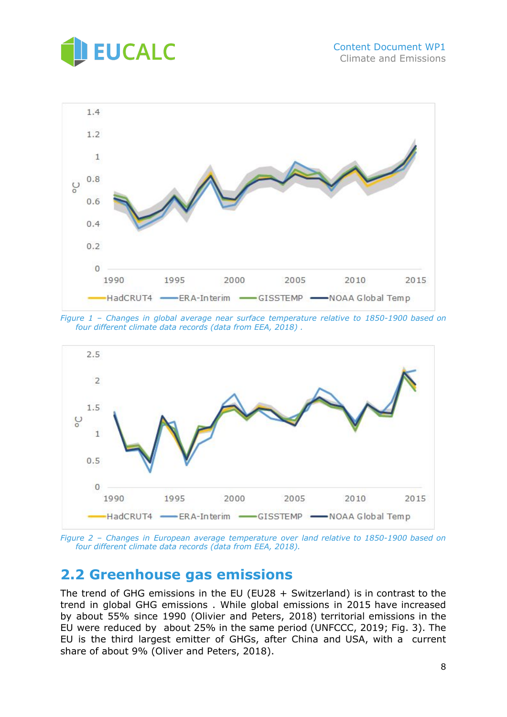



*Figure 1 – Changes in global average near surface temperature relative to 1850-1900 based on four different climate data records (data from EEA, 2018) .*



*Figure 2 – Changes in European average temperature over land relative to 1850-1900 based on four different climate data records (data from EEA, 2018).*

## <span id="page-7-0"></span>**2.2 Greenhouse gas emissions**

The trend of GHG emissions in the EU (EU28 + Switzerland) is in contrast to the trend in global GHG emissions . While global emissions in 2015 have increased by about 55% since 1990 (Olivier and Peters, 2018) territorial emissions in the EU were reduced by about 25% in the same period (UNFCCC, 2019; Fig. 3). The EU is the third largest emitter of GHGs, after China and USA, with a current share of about 9% (Oliver and Peters, 2018).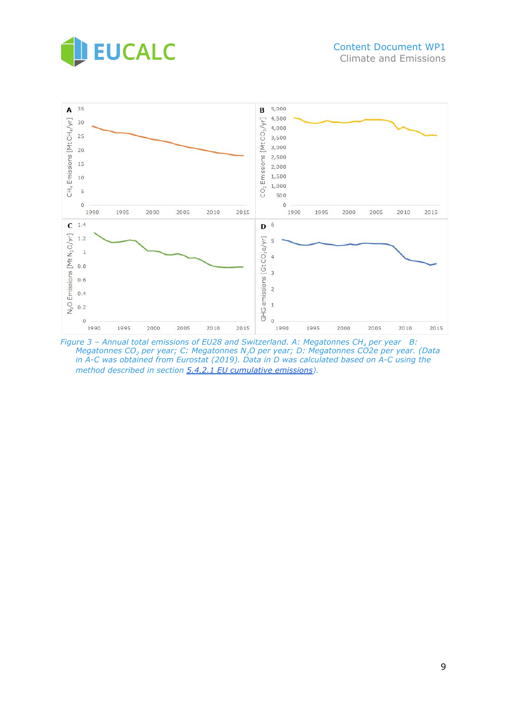



*Figure 3 – Annual total emissions of EU28 and Switzerland. A: Megatonnes CH<sup>4</sup> per year B: Megatonnes CO<sup>2</sup> per year; C: Megatonnes N2O per year; D: Megatonnes CO2e per year. (Data in A-C was obtained from Eurostat (2019). Data in D was calculated based on A-C using the method described in section [5.4.2.1 EU cumulative emissions\)](#page-15-3).*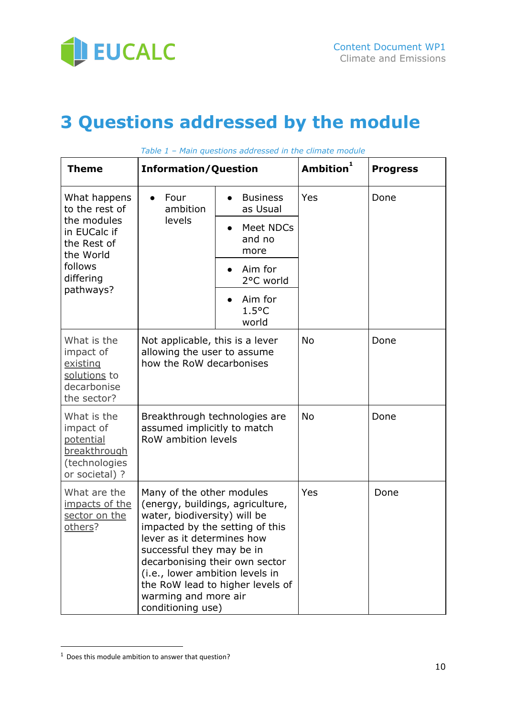

# <span id="page-9-0"></span>**3 Questions addressed by the module**

| <b>Theme</b>                                                                             | <b>Information/Question</b>                                                                                                                                                                                                                                                                                                                       |                                     | Ambition <sup>1</sup> | <b>Progress</b> |
|------------------------------------------------------------------------------------------|---------------------------------------------------------------------------------------------------------------------------------------------------------------------------------------------------------------------------------------------------------------------------------------------------------------------------------------------------|-------------------------------------|-----------------------|-----------------|
| What happens<br>to the rest of                                                           | Four<br>ambition                                                                                                                                                                                                                                                                                                                                  | <b>Business</b><br>as Usual         | Yes                   | Done            |
| the modules<br>in EUCalc if<br>the Rest of<br>the World                                  | levels                                                                                                                                                                                                                                                                                                                                            | Meet NDCs<br>and no<br>more         |                       |                 |
| follows<br>differing                                                                     |                                                                                                                                                                                                                                                                                                                                                   | Aim for<br>2°C world                |                       |                 |
| pathways?                                                                                |                                                                                                                                                                                                                                                                                                                                                   | Aim for<br>$1.5^{\circ}$ C<br>world |                       |                 |
| What is the<br>impact of<br>existing<br>solutions to<br>decarbonise<br>the sector?       | Not applicable, this is a lever<br>allowing the user to assume<br>how the RoW decarbonises                                                                                                                                                                                                                                                        |                                     | <b>No</b>             | Done            |
| What is the<br>impact of<br>potential<br>breakthrough<br>(technologies<br>or societal) ? | Breakthrough technologies are<br>assumed implicitly to match<br>RoW ambition levels                                                                                                                                                                                                                                                               |                                     | <b>No</b>             | Done            |
| What are the<br>impacts of the<br>sector on the<br>others?                               | Many of the other modules<br>(energy, buildings, agriculture,<br>water, biodiversity) will be<br>impacted by the setting of this<br>lever as it determines how<br>successful they may be in<br>decarbonising their own sector<br>(i.e., lower ambition levels in<br>the RoW lead to higher levels of<br>warming and more air<br>conditioning use) |                                     | Yes                   | Done            |

*Table 1 – Main questions addressed in the climate module*

 $<sup>1</sup>$  Does this module ambition to answer that question?</sup>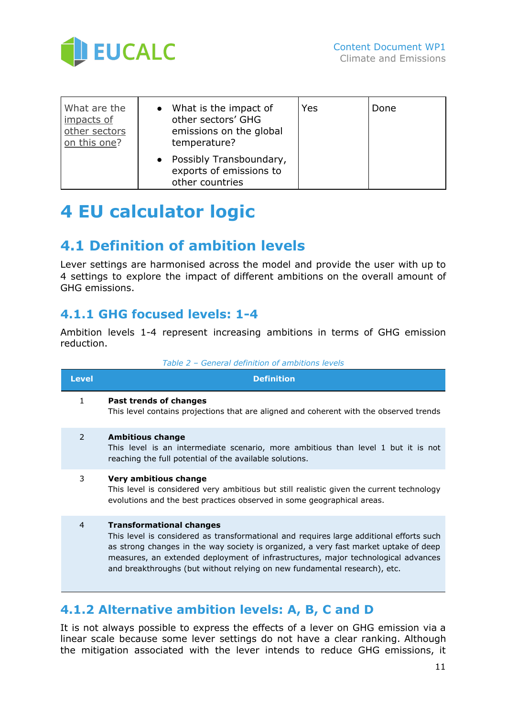

| What are the<br>impacts of<br>other sectors<br>on this one? | • What is the impact of<br>other sectors' GHG<br>emissions on the global<br>temperature? | Yes | Done |
|-------------------------------------------------------------|------------------------------------------------------------------------------------------|-----|------|
|                                                             | • Possibly Transboundary,<br>exports of emissions to<br>other countries                  |     |      |

# <span id="page-10-0"></span>**4 EU calculator logic**

## <span id="page-10-1"></span>**4.1 Definition of ambition levels**

Lever settings are harmonised across the model and provide the user with up to 4 settings to explore the impact of different ambitions on the overall amount of GHG emissions.

### <span id="page-10-2"></span>**4.1.1 GHG focused levels: 1-4**

Ambition levels 1-4 represent increasing ambitions in terms of GHG emission reduction.

|  | Table 2 - General definition of ambitions levels |  |
|--|--------------------------------------------------|--|
|  |                                                  |  |

| <b>Level</b>   | <b>Definition</b>                                                                                                                                                                                                                                                                                                                                                                    |
|----------------|--------------------------------------------------------------------------------------------------------------------------------------------------------------------------------------------------------------------------------------------------------------------------------------------------------------------------------------------------------------------------------------|
| 1              | Past trends of changes<br>This level contains projections that are aligned and coherent with the observed trends                                                                                                                                                                                                                                                                     |
| $\mathcal{P}$  | <b>Ambitious change</b><br>This level is an intermediate scenario, more ambitious than level 1 but it is not<br>reaching the full potential of the available solutions.                                                                                                                                                                                                              |
| 3              | Very ambitious change<br>This level is considered very ambitious but still realistic given the current technology<br>evolutions and the best practices observed in some geographical areas.                                                                                                                                                                                          |
| $\overline{4}$ | <b>Transformational changes</b><br>This level is considered as transformational and requires large additional efforts such<br>as strong changes in the way society is organized, a very fast market uptake of deep<br>measures, an extended deployment of infrastructures, major technological advances<br>and breakthroughs (but without relying on new fundamental research), etc. |
|                |                                                                                                                                                                                                                                                                                                                                                                                      |

### <span id="page-10-3"></span>**4.1.2 Alternative ambition levels: A, B, C and D**

It is not always possible to express the effects of a lever on GHG emission via a linear scale because some lever settings do not have a clear ranking. Although the mitigation associated with the lever intends to reduce GHG emissions, it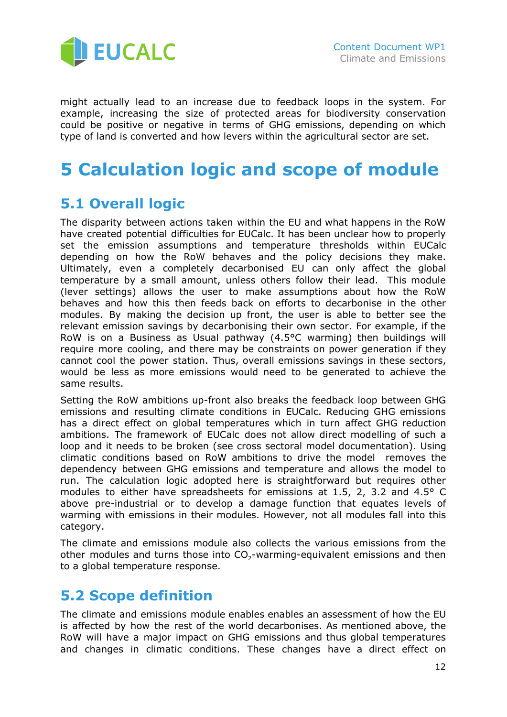

might actually lead to an increase due to feedback loops in the system. For example, increasing the size of protected areas for biodiversity conservation could be positive or negative in terms of GHG emissions, depending on which type of land is converted and how levers within the agricultural sector are set.

# <span id="page-11-0"></span>**5 Calculation logic and scope of module**

## <span id="page-11-1"></span>**5.1 Overall logic**

The disparity between actions taken within the EU and what happens in the RoW have created potential difficulties for EUCalc. It has been unclear how to properly set the emission assumptions and temperature thresholds within EUCalc depending on how the RoW behaves and the policy decisions they make. Ultimately, even a completely decarbonised EU can only affect the global temperature by a small amount, unless others follow their lead. This module (lever settings) allows the user to make assumptions about how the RoW behaves and how this then feeds back on efforts to decarbonise in the other modules. By making the decision up front, the user is able to better see the relevant emission savings by decarbonising their own sector. For example, if the RoW is on a Business as Usual pathway (4.5°C warming) then buildings will require more cooling, and there may be constraints on power generation if they cannot cool the power station. Thus, overall emissions savings in these sectors, would be less as more emissions would need to be generated to achieve the same results.

Setting the RoW ambitions up-front also breaks the feedback loop between GHG emissions and resulting climate conditions in EUCalc. Reducing GHG emissions has a direct effect on global temperatures which in turn affect GHG reduction ambitions. The framework of EUCalc does not allow direct modelling of such a loop and it needs to be broken (see cross sectoral model documentation). Using climatic conditions based on RoW ambitions to drive the model removes the dependency between GHG emissions and temperature and allows the model to run. The calculation logic adopted here is straightforward but requires other modules to either have spreadsheets for emissions at 1.5, 2, 3.2 and 4.5° C above pre-industrial or to develop a damage function that equates levels of warming with emissions in their modules. However, not all modules fall into this category.

The climate and emissions module also collects the various emissions from the other modules and turns those into  $CO_2$ -warming-equivalent emissions and then to a global temperature response.

## <span id="page-11-2"></span>**5.2 Scope definition**

The climate and emissions module enables enables an assessment of how the EU is affected by how the rest of the world decarbonises. As mentioned above, the RoW will have a major impact on GHG emissions and thus global temperatures and changes in climatic conditions. These changes have a direct effect on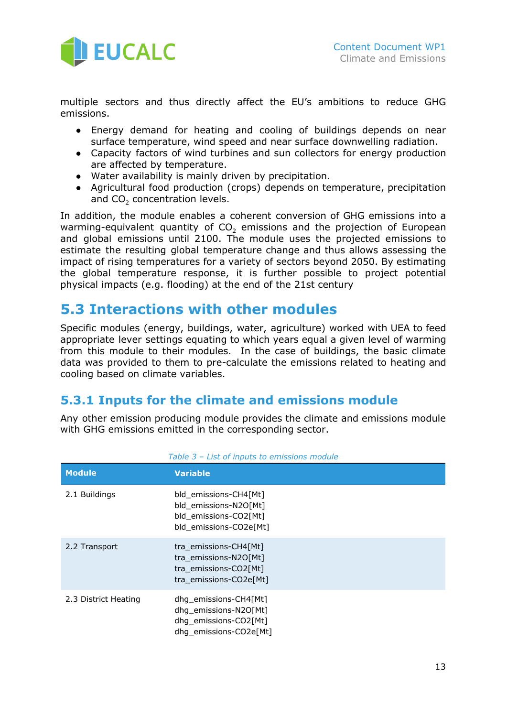

multiple sectors and thus directly affect the EU's ambitions to reduce GHG emissions.

- Energy demand for heating and cooling of buildings depends on near surface temperature, wind speed and near surface downwelling radiation.
- Capacity factors of wind turbines and sun collectors for energy production are affected by temperature.
- Water availability is mainly driven by precipitation.
- Agricultural food production (crops) depends on temperature, precipitation and CO<sub>2</sub> concentration levels.

In addition, the module enables a coherent conversion of GHG emissions into a warming-equivalent quantity of  $CO<sub>2</sub>$  emissions and the projection of European and global emissions until 2100. The module uses the projected emissions to estimate the resulting global temperature change and thus allows assessing the impact of rising temperatures for a variety of sectors beyond 2050. By estimating the global temperature response, it is further possible to project potential physical impacts (e.g. flooding) at the end of the 21st century

## <span id="page-12-0"></span>**5.3 Interactions with other modules**

Specific modules (energy, buildings, water, agriculture) worked with UEA to feed appropriate lever settings equating to which years equal a given level of warming from this module to their modules. In the case of buildings, the basic climate data was provided to them to pre-calculate the emissions related to heating and cooling based on climate variables.

### <span id="page-12-1"></span>**5.3.1 Inputs for the climate and emissions module**

Any other emission producing module provides the climate and emissions module with GHG emissions emitted in the corresponding sector.

| <b>Module</b>        | <b>Variable</b>                                                                                   |
|----------------------|---------------------------------------------------------------------------------------------------|
| 2.1 Buildings        | bld_emissions-CH4[Mt]<br>bld emissions-N2O[Mt]<br>bld_emissions-CO2[Mt]<br>bld emissions-CO2e[Mt] |
| 2.2 Transport        | tra_emissions-CH4[Mt]<br>tra emissions-N2O[Mt]<br>tra emissions-CO2[Mt]<br>tra emissions-CO2e[Mt] |
| 2.3 District Heating | dhg_emissions-CH4[Mt]<br>dhg_emissions-N2O[Mt]<br>dhg_emissions-CO2[Mt]<br>dhq emissions-CO2e[Mt] |

*Table 3 – List of inputs to emissions module*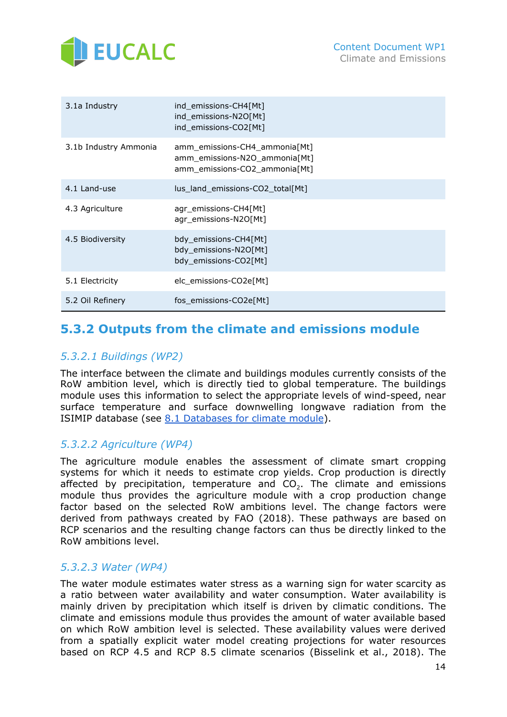

| 3.1a Industry         | ind_emissions-CH4[Mt]<br>ind_emissions-N2O[Mt]<br>ind_emissions-CO2[Mt]                         |
|-----------------------|-------------------------------------------------------------------------------------------------|
| 3.1b Industry Ammonia | amm_emissions-CH4_ammonia[Mt]<br>amm_emissions-N2O_ammonia[Mt]<br>amm_emissions-CO2_ammonia[Mt] |
| 4.1 Land-use          | lus_land_emissions-CO2_total[Mt]                                                                |
| 4.3 Agriculture       | agr_emissions-CH4[Mt]<br>agr_emissions-N2O[Mt]                                                  |
| 4.5 Biodiversity      | bdy_emissions-CH4[Mt]<br>bdy_emissions-N2O[Mt]<br>bdy_emissions-CO2[Mt]                         |
| 5.1 Electricity       | elc_emissions-CO2e[Mt]                                                                          |
| 5.2 Oil Refinery      | fos emissions-CO2e[Mt]                                                                          |

## <span id="page-13-0"></span>**5.3.2 Outputs from the climate and emissions module**

#### <span id="page-13-1"></span>*5.3.2.1 Buildings (WP2)*

The interface between the climate and buildings modules currently consists of the RoW ambition level, which is directly tied to global temperature. The buildings module uses this information to select the appropriate levels of wind-speed, near surface temperature and surface downwelling longwave radiation from the ISIMIP database (see 8.1 [Databases](#page-22-0) for climate module).

#### <span id="page-13-2"></span>*5.3.2.2 Agriculture (WP4)*

The agriculture module enables the assessment of climate smart cropping systems for which it needs to estimate crop yields. Crop production is directly affected by precipitation, temperature and  $CO<sub>2</sub>$ . The climate and emissions module thus provides the agriculture module with a crop production change factor based on the selected RoW ambitions level. The change factors were derived from pathways created by FAO (2018). These pathways are based on RCP scenarios and the resulting change factors can thus be directly linked to the RoW ambitions level.

#### <span id="page-13-3"></span>*5.3.2.3 Water (WP4)*

The water module estimates water stress as a warning sign for water scarcity as a ratio between water availability and water consumption. Water availability is mainly driven by precipitation which itself is driven by climatic conditions. The climate and emissions module thus provides the amount of water available based on which RoW ambition level is selected. These availability values were derived from a spatially explicit water model creating projections for water resources based on RCP 4.5 and RCP 8.5 climate scenarios (Bisselink et al., 2018). The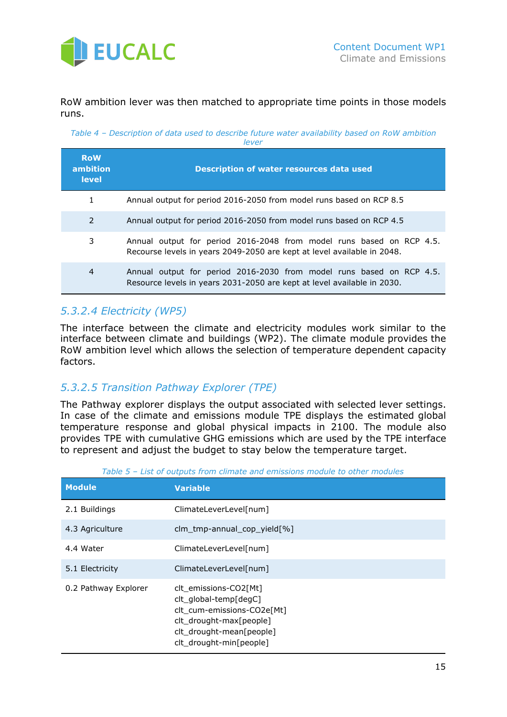

RoW ambition lever was then matched to appropriate time points in those models runs.

*Table 4 – Description of data used to describe future water availability based on RoW ambition lever*

| <b>RoW</b><br>ambition<br><b>level</b> | <b>Description of water resources data used</b>                                                                                                 |
|----------------------------------------|-------------------------------------------------------------------------------------------------------------------------------------------------|
| $\mathbf{1}$                           | Annual output for period 2016-2050 from model runs based on RCP 8.5                                                                             |
| 2                                      | Annual output for period 2016-2050 from model runs based on RCP 4.5                                                                             |
| 3                                      | Annual output for period 2016-2048 from model runs based on RCP 4.5.<br>Recourse levels in years 2049-2050 are kept at level available in 2048. |
| 4                                      | Annual output for period 2016-2030 from model runs based on RCP 4.5.<br>Resource levels in years 2031-2050 are kept at level available in 2030. |

#### <span id="page-14-0"></span>*5.3.2.4 Electricity (WP5)*

The interface between the climate and electricity modules work similar to the interface between climate and buildings (WP2). The climate module provides the RoW ambition level which allows the selection of temperature dependent capacity factors.

#### <span id="page-14-1"></span>*5.3.2.5 Transition Pathway Explorer (TPE)*

The Pathway explorer displays the output associated with selected lever settings. In case of the climate and emissions module TPE displays the estimated global temperature response and global physical impacts in 2100. The module also provides TPE with cumulative GHG emissions which are used by the TPE interface to represent and adjust the budget to stay below the temperature target.

| <b>Module</b>        | <b>Variable</b>                                                                                                                                                |
|----------------------|----------------------------------------------------------------------------------------------------------------------------------------------------------------|
| 2.1 Buildings        | ClimateLeverLevel[num]                                                                                                                                         |
| 4.3 Agriculture      | clm_tmp-annual_cop_yield[%]                                                                                                                                    |
| 4.4 Water            | ClimateLeverLevel[num]                                                                                                                                         |
| 5.1 Electricity      | ClimateLeverLevel[num]                                                                                                                                         |
| 0.2 Pathway Explorer | clt_emissions-CO2[Mt]<br>clt global-temp[degC]<br>clt cum-emissions-CO2e[Mt]<br>clt_drought-max[people]<br>clt_drought-mean[people]<br>clt_drought-min[people] |

| Table 5 - List of outputs from climate and emissions module to other modules |  |
|------------------------------------------------------------------------------|--|
|------------------------------------------------------------------------------|--|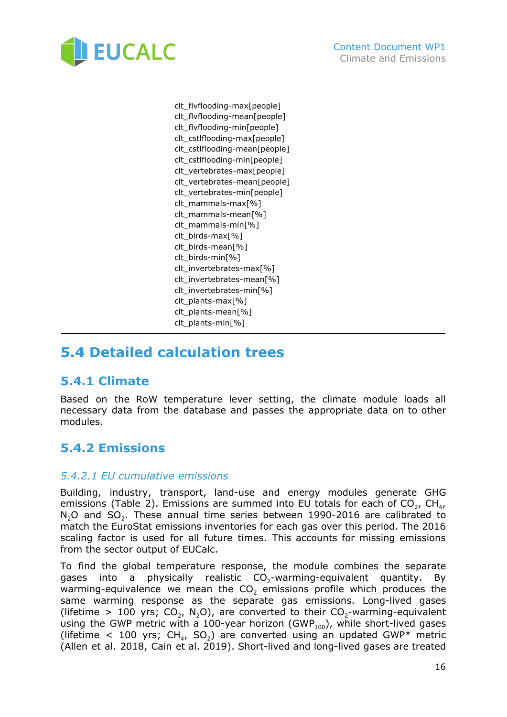

clt\_flvflooding-max[people] clt\_flvflooding-mean[people] clt\_flvflooding-min[people] clt\_cstlflooding-max[people] clt\_cstlflooding-mean[people] clt\_cstlflooding-min[people] clt\_vertebrates-max[people] clt\_vertebrates-mean[people] clt\_vertebrates-min[people] clt\_mammals-max[%] clt\_mammals-mean[%] clt\_mammals-min[%] clt\_birds-max[%] clt\_birds-mean[%] clt\_birds-min[%] clt\_invertebrates-max[%] clt\_invertebrates-mean[%] clt\_invertebrates-min[%] clt\_plants-max[%] clt\_plants-mean[%] clt\_plants-min[%]

## <span id="page-15-0"></span>**5.4 Detailed calculation trees**

### <span id="page-15-1"></span>**5.4.1 Climate**

Based on the RoW temperature lever setting, the climate module loads all necessary data from the database and passes the appropriate data on to other modules.

### <span id="page-15-2"></span>**5.4.2 Emissions**

#### <span id="page-15-3"></span>*5.4.2.1 EU cumulative emissions*

Building, industry, transport, land-use and energy modules generate GHG emissions (Table 2). Emissions are summed into EU totals for each of CO<sub>2</sub>, CH<sub>4</sub>,  $N_2$ O and SO<sub>2</sub>. These annual time series between 1990-2016 are calibrated to match the EuroStat emissions inventories for each gas over this period. The 2016 scaling factor is used for all future times. This accounts for missing emissions from the sector output of EUCalc.

To find the global temperature response, the module combines the separate gases into a physically realistic  $CO_2$ -warming-equivalent quantity. By warming-equivalence we mean the  $CO<sub>2</sub>$  emissions profile which produces the same warming response as the separate gas emissions. Long-lived gases (lifetime > 100 yrs;  $CO_2$ , N<sub>2</sub>O), are converted to their  $CO_2$ -warming-equivalent using the GWP metric with a 100-year horizon (GWP<sub>100</sub>), while short-lived gases (lifetime  $\langle$  100 yrs; CH<sub>4</sub>, SO<sub>2</sub>) are converted using an updated GWP\* metric (Allen et al. 2018, Cain et al. 2019). Short-lived and long-lived gases are treated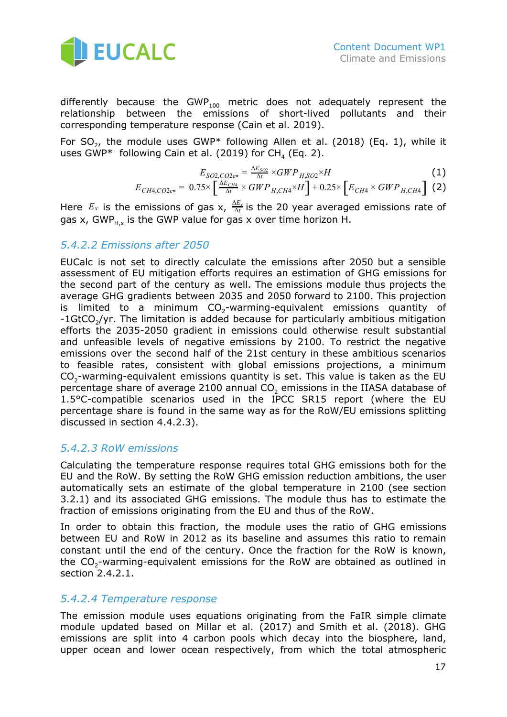

differently because the GWP<sub>100</sub> metric does not adequately represent the relationship between the emissions of short-lived pollutants and their corresponding temperature response (Cain et al. 2019).

For SO<sub>2</sub>, the module uses GWP\* following Allen et al. (2018) (Eq. 1), while it uses GWP\* following Cain et al. (2019) for CH<sub>4</sub> (Eq. 2).

$$
E_{SO2,CO2e*} = \frac{\Delta E_{SO2}}{\Delta t} \times GWP_{H,SO2} \times H
$$
(1)  

$$
E_{CH4,CO2e*} = 0.75 \times \left[\frac{\Delta E_{CH4}}{\Delta t} \times GWP_{H,CH4} \times H\right] + 0.25 \times \left[E_{CH4} \times GWP_{H,CH4}\right]
$$
(2)

Here  $E_x$  is the emissions of gas x,  $\frac{\Delta E_x}{\Delta t}$  is the 20 year averaged emissions rate of gas x, GWP<sub>H,x</sub> is the GWP value for gas x over time horizon H.

#### <span id="page-16-0"></span>*5.4.2.2 Emissions after 2050*

EUCalc is not set to directly calculate the emissions after 2050 but a sensible assessment of EU mitigation efforts requires an estimation of GHG emissions for the second part of the century as well. The emissions module thus projects the average GHG gradients between 2035 and 2050 forward to 2100. This projection is limited to a minimum  $CO<sub>2</sub>$ -warming-equivalent emissions quantity of -1GtCO<sub>2</sub>/yr. The limitation is added because for particularly ambitious mitigation efforts the 2035-2050 gradient in emissions could otherwise result substantial and unfeasible levels of negative emissions by 2100. To restrict the negative emissions over the second half of the 21st century in these ambitious scenarios to feasible rates, consistent with global emissions projections, a minimum  $CO<sub>2</sub>$ -warming-equivalent emissions quantity is set. This value is taken as the EU percentage share of average 2100 annual  $CO<sub>2</sub>$  emissions in the IIASA database of 1.5°C-compatible scenarios used in the IPCC SR15 report (where the EU percentage share is found in the same way as for the RoW/EU emissions splitting discussed in section 4.4.2.3).

#### <span id="page-16-1"></span>*5.4.2.3 RoW emissions*

Calculating the temperature response requires total GHG emissions both for the EU and the RoW. By setting the RoW GHG emission reduction ambitions, the user automatically sets an estimate of the global temperature in 2100 (see section 3.2.1) and its associated GHG emissions. The module thus has to estimate the fraction of emissions originating from the EU and thus of the RoW.

In order to obtain this fraction, the module uses the ratio of GHG emissions between EU and RoW in 2012 as its baseline and assumes this ratio to remain constant until the end of the century. Once the fraction for the RoW is known, the  $CO<sub>2</sub>$ -warming-equivalent emissions for the RoW are obtained as outlined in section 2.4.2.1.

#### <span id="page-16-2"></span>*5.4.2.4 Temperature response*

The emission module uses equations originating from the FaIR simple climate module updated based on Millar et al. (2017) and Smith et al. (2018). GHG emissions are split into 4 carbon pools which decay into the biosphere, land, upper ocean and lower ocean respectively, from which the total atmospheric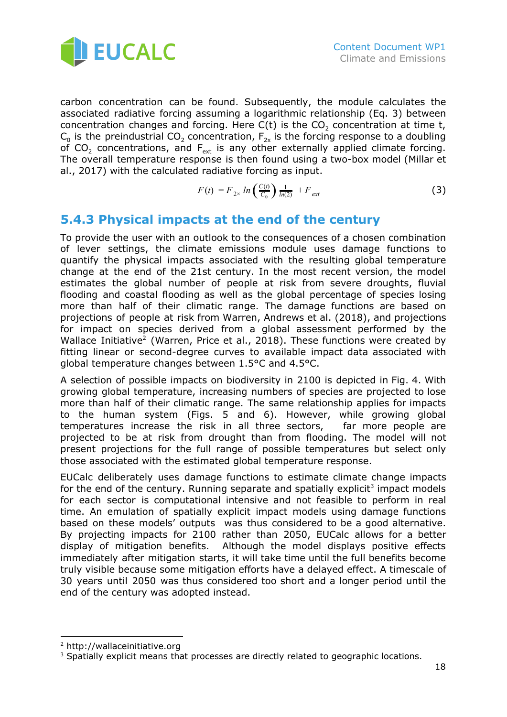

carbon concentration can be found. Subsequently, the module calculates the associated radiative forcing assuming a logarithmic relationship (Eq. 3) between concentration changes and forcing. Here  $C(t)$  is the  $CO<sub>2</sub>$  concentration at time t,  $\mathsf{C}_{{}_0}$  is the preindustrial  $\mathsf{CO}_2$  concentration,  $\mathsf{F}_{\mathsf{2x}}$  is the forcing response to a doubling of CO<sub>2</sub> concentrations, and  $F_{ext}$  is any other externally applied climate forcing. The overall temperature response is then found using a two-box model (Millar et al., 2017) with the calculated radiative forcing as input.

$$
F(t) = F_{2x} \ln \left( \frac{C(t)}{C_0} \right) \frac{1}{\ln(2)} + F_{ext}
$$
 (3)

### <span id="page-17-0"></span>**5.4.3 Physical impacts at the end of the century**

To provide the user with an outlook to the consequences of a chosen combination of lever settings, the climate emissions module uses damage functions to quantify the physical impacts associated with the resulting global temperature change at the end of the 21st century. In the most recent version, the model estimates the global number of people at risk from severe droughts, fluvial flooding and coastal flooding as well as the global percentage of species losing more than half of their climatic range. The damage functions are based on projections of people at risk from Warren, Andrews et al. (2018), and projections for impact on species derived from a global assessment performed by the Wallace Initiative<sup>2</sup> (Warren, Price et al., 2018). These functions were created by fitting linear or second-degree curves to available impact data associated with global temperature changes between 1.5°C and 4.5°C.

A selection of possible impacts on biodiversity in 2100 is depicted in Fig. 4. With growing global temperature, increasing numbers of species are projected to lose more than half of their climatic range. The same relationship applies for impacts to the human system (Figs. 5 and 6). However, while growing global temperatures increase the risk in all three sectors, far more people are projected to be at risk from drought than from flooding. The model will not present projections for the full range of possible temperatures but select only those associated with the estimated global temperature response.

EUCalc deliberately uses damage functions to estimate climate change impacts for the end of the century. Running separate and spatially explicit<sup>3</sup> impact models for each sector is computational intensive and not feasible to perform in real time. An emulation of spatially explicit impact models using damage functions based on these models' outputs was thus considered to be a good alternative. By projecting impacts for 2100 rather than 2050, EUCalc allows for a better display of mitigation benefits. Although the model displays positive effects immediately after mitigation starts, it will take time until the full benefits become truly visible because some mitigation efforts have a delayed effect. A timescale of 30 years until 2050 was thus considered too short and a longer period until the end of the century was adopted instead.

<sup>2</sup> http://wallaceinitiative.org

 $3$  Spatially explicit means that processes are directly related to geographic locations.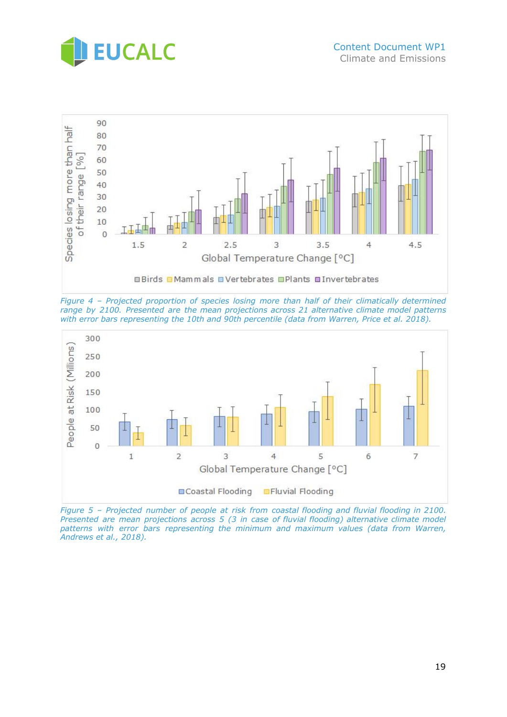



*Figure 4 – Projected proportion of species losing more than half of their climatically determined range by 2100. Presented are the mean projections across 21 alternative climate model patterns with error bars representing the 10th and 90th percentile (data from Warren, Price et al. 2018).*



*Figure 5 – Projected number of people at risk from coastal flooding and fluvial flooding in 2100. Presented are mean projections across 5 (3 in case of fluvial flooding) alternative climate model patterns with error bars representing the minimum and maximum values (data from Warren, Andrews et al., 2018).*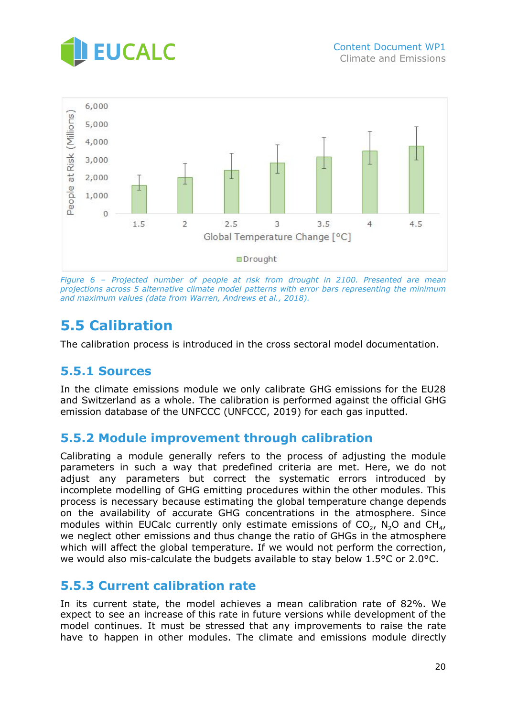



*Figure 6 – Projected number of people at risk from drought in 2100. Presented are mean projections across 5 alternative climate model patterns with error bars representing the minimum and maximum values (data from Warren, Andrews et al., 2018).*

## <span id="page-19-0"></span>**5.5 Calibration**

<span id="page-19-1"></span>The calibration process is introduced in the cross sectoral model documentation.

### **5.5.1 Sources**

In the climate emissions module we only calibrate GHG emissions for the EU28 and Switzerland as a whole. The calibration is performed against the official GHG emission database of the UNFCCC (UNFCCC, 2019) for each gas inputted.

### <span id="page-19-2"></span>**5.5.2 Module improvement through calibration**

Calibrating a module generally refers to the process of adjusting the module parameters in such a way that predefined criteria are met. Here, we do not adjust any parameters but correct the systematic errors introduced by incomplete modelling of GHG emitting procedures within the other modules. This process is necessary because estimating the global temperature change depends on the availability of accurate GHG concentrations in the atmosphere. Since modules within EUCalc currently only estimate emissions of CO<sub>2</sub>, N<sub>2</sub>O and CH<sub>4</sub>, we neglect other emissions and thus change the ratio of GHGs in the atmosphere which will affect the global temperature. If we would not perform the correction, we would also mis-calculate the budgets available to stay below 1.5°C or 2.0°C.

### <span id="page-19-3"></span>**5.5.3 Current calibration rate**

In its current state, the model achieves a mean calibration rate of 82%. We expect to see an increase of this rate in future versions while development of the model continues. It must be stressed that any improvements to raise the rate have to happen in other modules. The climate and emissions module directly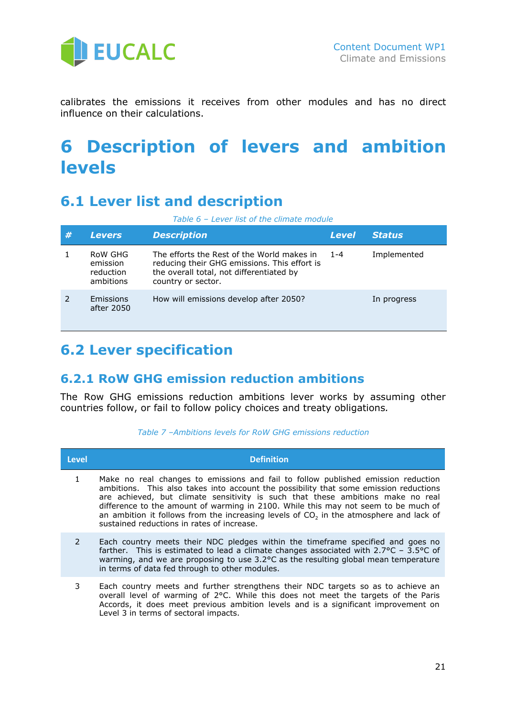

calibrates the emissions it receives from other modules and has no direct influence on their calculations.

# <span id="page-20-0"></span>**6 Description of levers and ambition levels**

## <span id="page-20-1"></span>**6.1 Lever list and description**

| Table 6 - Lever list of the climate module |  |  |  |  |
|--------------------------------------------|--|--|--|--|
|--------------------------------------------|--|--|--|--|

| # | <b>Levers</b>                                 | <b>Description</b>                                                                                                                                           | <b>Level</b> | <b>Status</b> |
|---|-----------------------------------------------|--------------------------------------------------------------------------------------------------------------------------------------------------------------|--------------|---------------|
|   | RoW GHG<br>emission<br>reduction<br>ambitions | The efforts the Rest of the World makes in<br>reducing their GHG emissions. This effort is<br>the overall total, not differentiated by<br>country or sector. | 1-4          | Implemented   |
|   | Emissions<br>after 2050                       | How will emissions develop after 2050?                                                                                                                       |              | In progress   |

## <span id="page-20-2"></span>**6.2 Lever specification**

### <span id="page-20-3"></span>**6.2.1 RoW GHG emission reduction ambitions**

The Row GHG emissions reduction ambitions lever works by assuming other countries follow, or fail to follow policy choices and treaty obligations*.*

|  |  |  |  |  | Table 7 -Ambitions levels for RoW GHG emissions reduction |  |
|--|--|--|--|--|-----------------------------------------------------------|--|
|--|--|--|--|--|-----------------------------------------------------------|--|

| <b>Level</b>  | <b>Definition</b>                                                                                                                                                                                                                                                                                                                                                                                                                                                                                       |
|---------------|---------------------------------------------------------------------------------------------------------------------------------------------------------------------------------------------------------------------------------------------------------------------------------------------------------------------------------------------------------------------------------------------------------------------------------------------------------------------------------------------------------|
| $\mathbf{1}$  | Make no real changes to emissions and fail to follow published emission reduction<br>ambitions. This also takes into account the possibility that some emission reductions<br>are achieved, but climate sensitivity is such that these ambitions make no real<br>difference to the amount of warming in 2100. While this may not seem to be much of<br>an ambition it follows from the increasing levels of CO <sub>2</sub> in the atmosphere and lack of<br>sustained reductions in rates of increase. |
| $\mathcal{P}$ | Each country meets their NDC pledges within the timeframe specified and goes no<br>farther. This is estimated to lead a climate changes associated with $2.7^{\circ}$ C - $3.5^{\circ}$ C of<br>warming, and we are proposing to use $3.2$ °C as the resulting global mean temperature<br>in terms of data fed through to other modules.                                                                                                                                                                |
| 3             | Each country meets and further strengthens their NDC targets so as to achieve an<br>overall level of warming of 2°C. While this does not meet the targets of the Paris<br>Accords, it does meet previous ambition levels and is a significant improvement on<br>Level 3 in terms of sectoral impacts.                                                                                                                                                                                                   |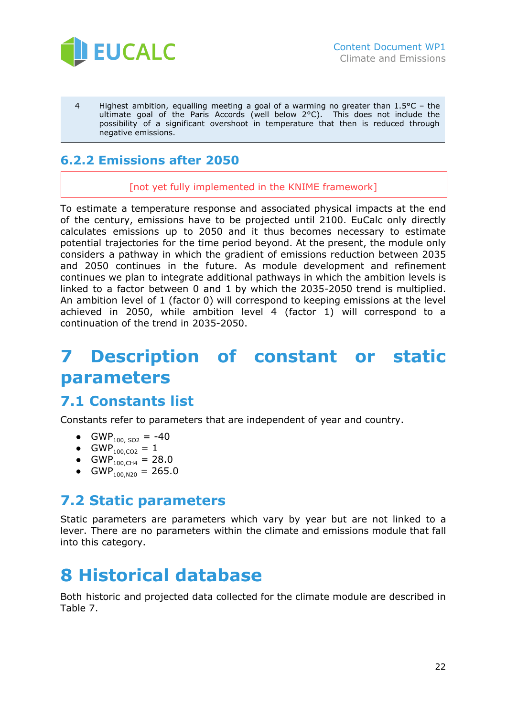

4 Highest ambition, equalling meeting a goal of a warming no greater than 1.5°C – the ultimate goal of the Paris Accords (well below 2°C). This does not include the possibility of a significant overshoot in temperature that then is reduced through negative emissions.

## <span id="page-21-0"></span>**6.2.2 Emissions after 2050**

[not yet fully implemented in the KNIME framework]

To estimate a temperature response and associated physical impacts at the end of the century, emissions have to be projected until 2100. EuCalc only directly calculates emissions up to 2050 and it thus becomes necessary to estimate potential trajectories for the time period beyond. At the present, the module only considers a pathway in which the gradient of emissions reduction between 2035 and 2050 continues in the future. As module development and refinement continues we plan to integrate additional pathways in which the ambition levels is linked to a factor between 0 and 1 by which the 2035-2050 trend is multiplied. An ambition level of 1 (factor 0) will correspond to keeping emissions at the level achieved in 2050, while ambition level 4 (factor 1) will correspond to a continuation of the trend in 2035-2050.

# <span id="page-21-1"></span>**7 Description of constant or static parameters**

## <span id="page-21-2"></span>**7.1 Constants list**

Constants refer to parameters that are independent of year and country.

- GWP<sub>100, SO2</sub> = -40
- GWP<sub>100,CO2</sub> = 1
- GWP<sub>100,CH4</sub> = 28.0
- GWP<sub>100,N20</sub> = 265.0

## <span id="page-21-3"></span>**7.2 Static parameters**

Static parameters are parameters which vary by year but are not linked to a lever. There are no parameters within the climate and emissions module that fall into this category.

# <span id="page-21-4"></span>**8 Historical database**

Both historic and projected data collected for the climate module are described in Table 7.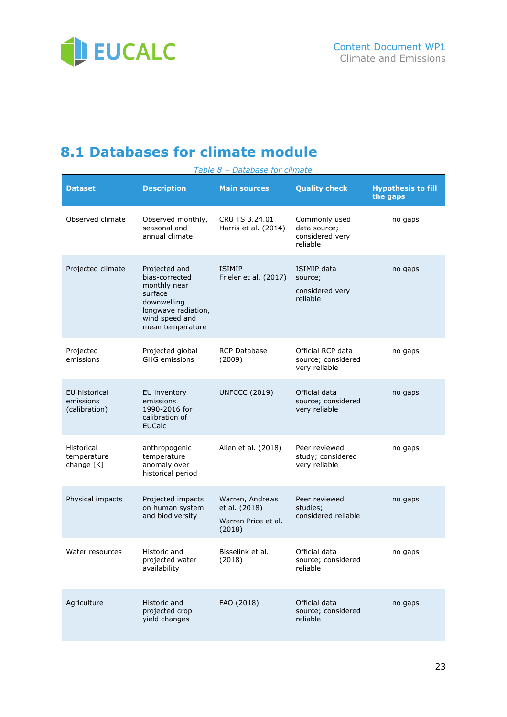

# <span id="page-22-0"></span>**8.1 Databases for climate module**

| Table 8 - Database for climate              |                                                                                                                                        |                                                                   |                                                              |                                       |  |  |
|---------------------------------------------|----------------------------------------------------------------------------------------------------------------------------------------|-------------------------------------------------------------------|--------------------------------------------------------------|---------------------------------------|--|--|
| <b>Dataset</b>                              | <b>Description</b>                                                                                                                     | <b>Main sources</b>                                               | <b>Quality check</b>                                         | <b>Hypothesis to fill</b><br>the gaps |  |  |
| Observed climate                            | Observed monthly,<br>seasonal and<br>annual climate                                                                                    | CRU TS 3.24.01<br>Harris et al. (2014)                            | Commonly used<br>data source;<br>considered very<br>reliable | no gaps                               |  |  |
| Projected climate                           | Projected and<br>bias-corrected<br>monthly near<br>surface<br>downwelling<br>longwave radiation,<br>wind speed and<br>mean temperature | <b>ISIMIP</b><br>Frieler et al. (2017)                            | <b>ISIMIP</b> data<br>source;<br>considered very<br>reliable | no gaps                               |  |  |
| Projected<br>emissions                      | Projected global<br><b>GHG</b> emissions                                                                                               | <b>RCP Database</b><br>(2009)                                     | Official RCP data<br>source; considered<br>very reliable     | no gaps                               |  |  |
| EU historical<br>emissions<br>(calibration) | EU inventory<br>emissions<br>1990-2016 for<br>calibration of<br><b>EUCalc</b>                                                          | <b>UNFCCC (2019)</b>                                              | Official data<br>source; considered<br>very reliable         | no gaps                               |  |  |
| Historical<br>temperature<br>change [K]     | anthropogenic<br>temperature<br>anomaly over<br>historical period                                                                      | Allen et al. (2018)                                               | Peer reviewed<br>study; considered<br>very reliable          | no gaps                               |  |  |
| Physical impacts                            | Projected impacts<br>on human system<br>and biodiversity                                                                               | Warren, Andrews<br>et al. (2018)<br>Warren Price et al.<br>(2018) | Peer reviewed<br>studies;<br>considered reliable             | no gaps                               |  |  |
| Water resources                             | Historic and<br>projected water<br>availability                                                                                        | Bisselink et al.<br>(2018)                                        | Official data<br>source; considered<br>reliable              | no gaps                               |  |  |
| Agriculture                                 | Historic and<br>projected crop<br>yield changes                                                                                        | FAO (2018)                                                        | Official data<br>source; considered<br>reliable              | no gaps                               |  |  |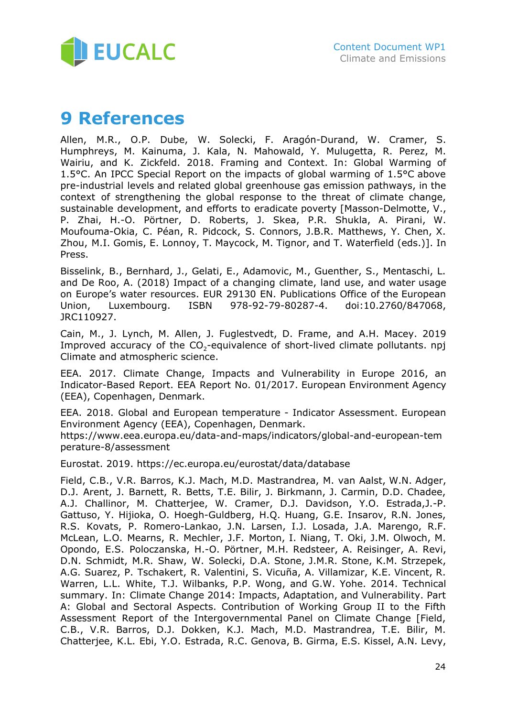

# <span id="page-23-0"></span>**9 References**

Allen, M.R., O.P. Dube, W. Solecki, F. Aragón-Durand, W. Cramer, S. Humphreys, M. Kainuma, J. Kala, N. Mahowald, Y. Mulugetta, R. Perez, M. Wairiu, and K. Zickfeld. 2018. Framing and Context. In: Global Warming of 1.5°C. An IPCC Special Report on the impacts of global warming of 1.5°C above pre-industrial levels and related global greenhouse gas emission pathways, in the context of strengthening the global response to the threat of climate change, sustainable development, and efforts to eradicate poverty [Masson-Delmotte, V., P. Zhai, H.-O. Pörtner, D. Roberts, J. Skea, P.R. Shukla, A. Pirani, W. Moufouma-Okia, C. Péan, R. Pidcock, S. Connors, J.B.R. Matthews, Y. Chen, X. Zhou, M.I. Gomis, E. Lonnoy, T. Maycock, M. Tignor, and T. Waterfield (eds.)]. In Press.

Bisselink, B., Bernhard, J., Gelati, E., Adamovic, M., Guenther, S., Mentaschi, L. and De Roo, A. (2018) Impact of a changing climate, land use, and water usage on Europe's water resources. EUR 29130 EN. Publications Office of the European Union, Luxembourg. ISBN 978-92-79-80287-4. doi:10.2760/847068, JRC110927.

Cain, M., J. Lynch, M. Allen, J. Fuglestvedt, D. Frame, and A.H. Macey. 2019 Improved accuracy of the  $CO<sub>2</sub>$ -equivalence of short-lived climate pollutants. npj Climate and atmospheric science.

EEA. 2017. Climate Change, Impacts and Vulnerability in Europe 2016, an Indicator-Based Report. EEA Report No. 01/2017. European Environment Agency (EEA), Copenhagen, Denmark.

EEA. 2018. Global and European temperature - Indicator Assessment. European Environment Agency (EEA), Copenhagen, Denmark.

https://www.eea.europa.eu/data-and-maps/indicators/global-and-european-tem perature-8/assessment

Eurostat. 2019. https://ec.europa.eu/eurostat/data/database

Field, C.B., V.R. Barros, K.J. Mach, M.D. Mastrandrea, M. van Aalst, W.N. Adger, D.J. Arent, J. Barnett, R. Betts, T.E. Bilir, J. Birkmann, J. Carmin, D.D. Chadee, A.J. Challinor, M. Chatterjee, W. Cramer, D.J. Davidson, Y.O. Estrada,J.-P. Gattuso, Y. Hijioka, O. Hoegh-Guldberg, H.Q. Huang, G.E. Insarov, R.N. Jones, R.S. Kovats, P. Romero-Lankao, J.N. Larsen, I.J. Losada, J.A. Marengo, R.F. McLean, L.O. Mearns, R. Mechler, J.F. Morton, I. Niang, T. Oki, J.M. Olwoch, M. Opondo, E.S. Poloczanska, H.-O. Pörtner, M.H. Redsteer, A. Reisinger, A. Revi, D.N. Schmidt, M.R. Shaw, W. Solecki, D.A. Stone, J.M.R. Stone, K.M. Strzepek, A.G. Suarez, P. Tschakert, R. Valentini, S. Vicuña, A. Villamizar, K.E. Vincent, R. Warren, L.L. White, T.J. Wilbanks, P.P. Wong, and G.W. Yohe. 2014. Technical summary. In: Climate Change 2014: Impacts, Adaptation, and Vulnerability. Part A: Global and Sectoral Aspects. Contribution of Working Group II to the Fifth Assessment Report of the Intergovernmental Panel on Climate Change [Field, C.B., V.R. Barros, D.J. Dokken, K.J. Mach, M.D. Mastrandrea, T.E. Bilir, M. Chatterjee, K.L. Ebi, Y.O. Estrada, R.C. Genova, B. Girma, E.S. Kissel, A.N. Levy,